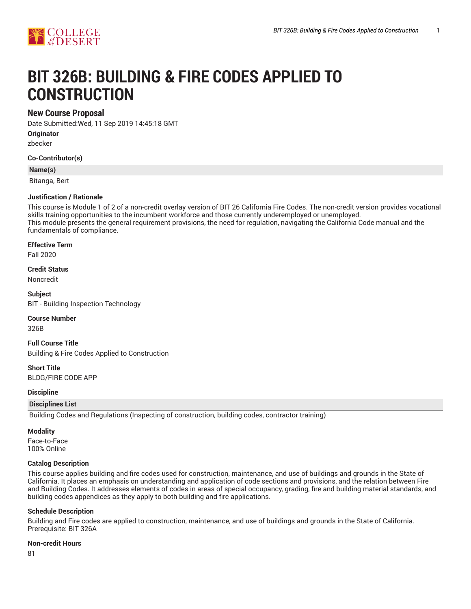

# **BIT 326B: BUILDING & FIRE CODES APPLIED TO CONSTRUCTION**

# **New Course Proposal**

Date Submitted:Wed, 11 Sep 2019 14:45:18 GMT

**Originator**

zbecker

**Co-Contributor(s)**

**Name(s)**

Bitanga, Bert

### **Justification / Rationale**

This course is Module 1 of 2 of a non-credit overlay version of BIT 26 California Fire Codes. The non-credit version provides vocational skills training opportunities to the incumbent workforce and those currently underemployed or unemployed. This module presents the general requirement provisions, the need for regulation, navigating the California Code manual and the fundamentals of compliance.

**Effective Term**

Fall 2020

**Credit Status**

Noncredit

**Subject** BIT - Building Inspection Technology

#### **Course Number**

326B

**Full Course Title** Building & Fire Codes Applied to Construction

**Short Title** BLDG/FIRE CODE APP

#### **Discipline**

## **Disciplines List**

Building Codes and Regulations (Inspecting of construction, building codes, contractor training)

**Modality**

Face-to-Face 100% Online

## **Catalog Description**

This course applies building and fire codes used for construction, maintenance, and use of buildings and grounds in the State of California. It places an emphasis on understanding and application of code sections and provisions, and the relation between Fire and Building Codes. It addresses elements of codes in areas of special occupancy, grading, fire and building material standards, and building codes appendices as they apply to both building and fire applications.

#### **Schedule Description**

Building and Fire codes are applied to construction, maintenance, and use of buildings and grounds in the State of California. Prerequisite: BIT 326A

#### **Non-credit Hours**

81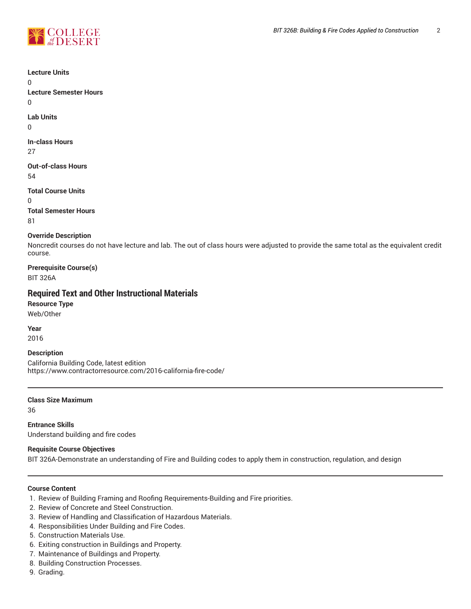

**Lecture Units**

 $\Omega$ **Lecture Semester Hours**

 $\Omega$ 

**Lab Units**

0

**In-class Hours** 27

**Out-of-class Hours** 54

**Total Course Units** 0 **Total Semester Hours**

81

## **Override Description**

Noncredit courses do not have lecture and lab. The out of class hours were adjusted to provide the same total as the equivalent credit course.

**Prerequisite Course(s)** BIT 326A

# **Required Text and Other Instructional Materials**

**Resource Type** Web/Other

**Year** 2016

## **Description**

California Building Code, latest edition https://www.contractorresource.com/2016-california-fire-code/

**Class Size Maximum**

36

**Entrance Skills** Understand building and fire codes

## **Requisite Course Objectives**

BIT 326A-Demonstrate an understanding of Fire and Building codes to apply them in construction, regulation, and design

### **Course Content**

- 1. Review of Building Framing and Roofing Requirements-Building and Fire priorities.
- 2. Review of Concrete and Steel Construction.
- 3. Review of Handling and Classification of Hazardous Materials.
- 4. Responsibilities Under Building and Fire Codes.
- 5. Construction Materials Use.
- 6. Exiting construction in Buildings and Property.
- 7. Maintenance of Buildings and Property.
- 8. Building Construction Processes.
- 9. Grading.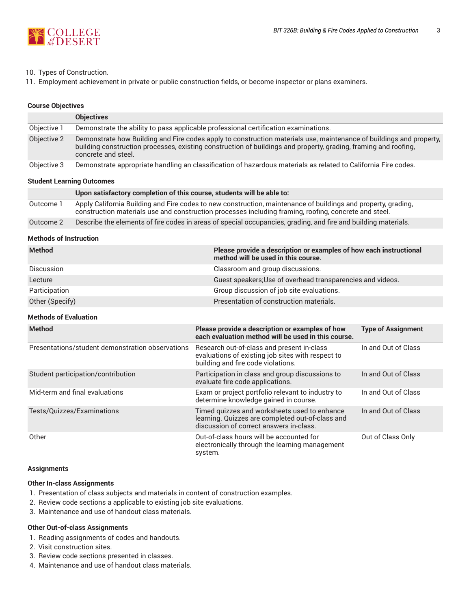

### 10. Types of Construction.

11. Employment achievement in private or public construction fields, or become inspector or plans examiners.

#### **Course Objectives**

|                           | <b>Objectives</b>                                                                                                                                                                                                                                             |  |  |
|---------------------------|---------------------------------------------------------------------------------------------------------------------------------------------------------------------------------------------------------------------------------------------------------------|--|--|
| Objective 1               | Demonstrate the ability to pass applicable professional certification examinations.                                                                                                                                                                           |  |  |
| Objective 2               | Demonstrate how Building and Fire codes apply to construction materials use, maintenance of buildings and property,<br>building construction processes, existing construction of buildings and property, grading, framing and roofing,<br>concrete and steel. |  |  |
| Objective 3               | Demonstrate appropriate handling an classification of hazardous materials as related to California Fire codes.                                                                                                                                                |  |  |
| Student Learning Outcomes |                                                                                                                                                                                                                                                               |  |  |

#### **Student Learning Outcomes**

|           | Upon satisfactory completion of this course, students will be able to:                                                                                                                                                 |
|-----------|------------------------------------------------------------------------------------------------------------------------------------------------------------------------------------------------------------------------|
| Outcome 1 | Apply California Building and Fire codes to new construction, maintenance of buildings and property, grading,<br>construction materials use and construction processes including framing, roofing, concrete and steel. |
| Outcome 2 | Describe the elements of fire codes in areas of special occupancies, grading, and fire and building materials.                                                                                                         |

#### **Methods of Instruction**

| <b>Method</b>     | Please provide a description or examples of how each instructional<br>method will be used in this course. |
|-------------------|-----------------------------------------------------------------------------------------------------------|
| <b>Discussion</b> | Classroom and group discussions.                                                                          |
| Lecture           | Guest speakers; Use of overhead transparencies and videos.                                                |
| Participation     | Group discussion of job site evaluations.                                                                 |
| Other (Specify)   | Presentation of construction materials.                                                                   |

## **Methods of Evaluation**

| <b>Method</b>                                    | Please provide a description or examples of how<br>each evaluation method will be used in this course.                                      | <b>Type of Assignment</b> |
|--------------------------------------------------|---------------------------------------------------------------------------------------------------------------------------------------------|---------------------------|
| Presentations/student demonstration observations | Research out-of-class and present in-class<br>evaluations of existing job sites with respect to<br>building and fire code violations.       | In and Out of Class       |
| Student participation/contribution               | Participation in class and group discussions to<br>evaluate fire code applications.                                                         | In and Out of Class       |
| Mid-term and final evaluations                   | Exam or project portfolio relevant to industry to<br>determine knowledge gained in course.                                                  | In and Out of Class       |
| Tests/Quizzes/Examinations                       | Timed quizzes and worksheets used to enhance<br>learning. Quizzes are completed out-of-class and<br>discussion of correct answers in-class. | In and Out of Class       |
| Other                                            | Out-of-class hours will be accounted for<br>electronically through the learning management<br>system.                                       | Out of Class Only         |

#### **Assignments**

## **Other In-class Assignments**

- 1. Presentation of class subjects and materials in content of construction examples.
- 2. Review code sections a applicable to existing job site evaluations.
- 3. Maintenance and use of handout class materials.

#### **Other Out-of-class Assignments**

- 1. Reading assignments of codes and handouts.
- 2. Visit construction sites.
- 3. Review code sections presented in classes.
- 4. Maintenance and use of handout class materials.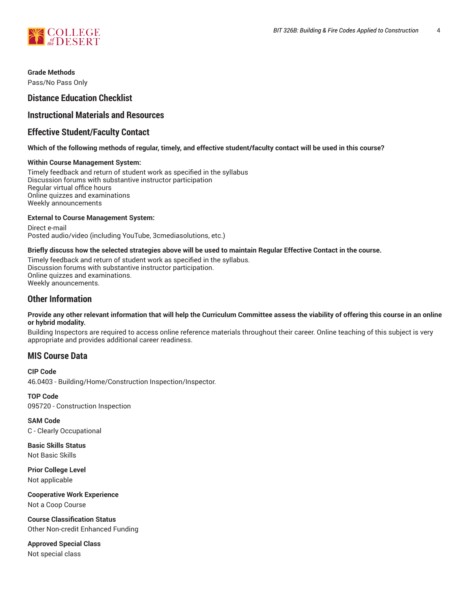

**Grade Methods** Pass/No Pass Only

# **Distance Education Checklist**

# **Instructional Materials and Resources**

# **Effective Student/Faculty Contact**

## Which of the following methods of regular, timely, and effective student/faculty contact will be used in this course?

#### **Within Course Management System:**

Timely feedback and return of student work as specified in the syllabus Discussion forums with substantive instructor participation Regular virtual office hours Online quizzes and examinations Weekly announcements

### **External to Course Management System:**

Direct e-mail Posted audio/video (including YouTube, 3cmediasolutions, etc.)

### Briefly discuss how the selected strategies above will be used to maintain Regular Effective Contact in the course.

Timely feedback and return of student work as specified in the syllabus. Discussion forums with substantive instructor participation. Online quizzes and examinations. Weekly anouncements.

# **Other Information**

#### Provide any other relevant information that will help the Curriculum Committee assess the viability of offering this course in an online **or hybrid modality.**

Building Inspectors are required to access online reference materials throughout their career. Online teaching of this subject is very appropriate and provides additional career readiness.

# **MIS Course Data**

**CIP Code** 46.0403 - Building/Home/Construction Inspection/Inspector.

**TOP Code** 095720 - Construction Inspection

**SAM Code** C - Clearly Occupational

**Basic Skills Status** Not Basic Skills

**Prior College Level** Not applicable

**Cooperative Work Experience** Not a Coop Course

**Course Classification Status** Other Non-credit Enhanced Funding

**Approved Special Class** Not special class